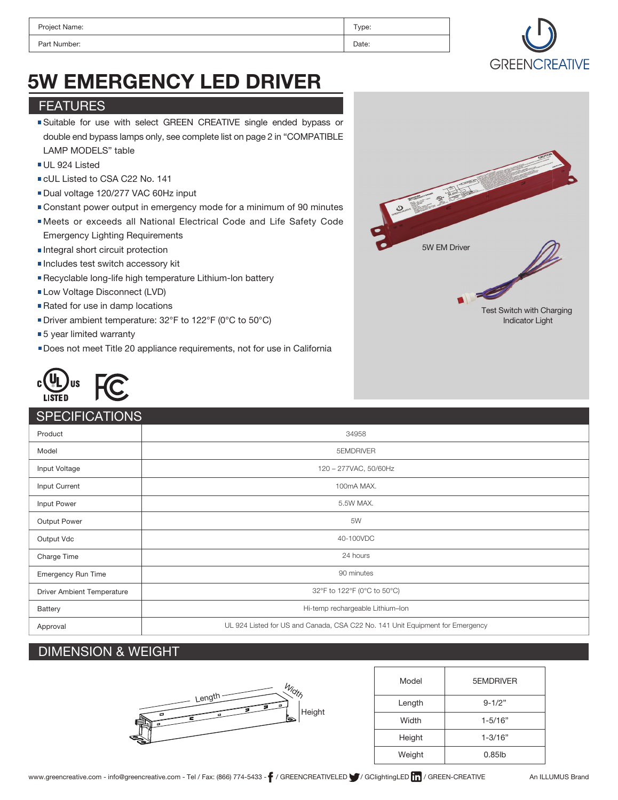| Project Name: | Type: |
|---------------|-------|
| Part Number:  | Date: |



# 5W EMERGENCY LED DRIVER

### FEATURES

- Suitable for use with select GREEN CREATIVE single ended bypass or double end bypass lamps only, see complete list on page 2 in "COMPATIBLE LAMP MODELS" table
- UL 924 Listed
- CUL Listed to CSA C22 No. 141
- Dual voltage 120/277 VAC 60Hz input
- Constant power output in emergency mode for a minimum of 90 minutes
- Meets or exceeds all National Electrical Code and Life Safety Code
- Emergency Lighting Requirements
- Integral short circuit protection
- Includes test switch accessory kit
- Recyclable long-life high temperature Lithium-lon battery
- Low Voltage Disconnect (LVD)
- Rated for use in damp locations
- Driver ambient temperature: 32°F to 122°F (0°C to 50°C)
- ■5 year limited warranty
- Does not meet Title 20 appliance requirements, not for use in California



### **SPECIFICATIONS**

| ______________                    |                                                                               |  |
|-----------------------------------|-------------------------------------------------------------------------------|--|
| Product                           | 34958                                                                         |  |
| Model                             | 5EMDRIVER                                                                     |  |
| Input Voltage                     | 120 - 277VAC, 50/60Hz                                                         |  |
| Input Current                     | 100mA MAX.                                                                    |  |
| Input Power                       | 5.5W MAX.                                                                     |  |
| Output Power                      | 5W                                                                            |  |
| Output Vdc                        | 40-100VDC                                                                     |  |
| Charge Time                       | 24 hours                                                                      |  |
| Emergency Run Time                | 90 minutes                                                                    |  |
| <b>Driver Ambient Temperature</b> | 32°F to 122°F (0°C to 50°C)                                                   |  |
| Battery                           | Hi-temp rechargeable Lithium-Ion                                              |  |
| Approval                          | UL 924 Listed for US and Canada, CSA C22 No. 141 Unit Equipment for Emergency |  |

# DIMENSION & WEIGHT



| Model  | 5EMDRIVER   |
|--------|-------------|
| Length | $9 - 1/2"$  |
| Width  | $1 - 5/16"$ |
| Height | $1 - 3/16"$ |
| Weight | $0.85$ lb   |